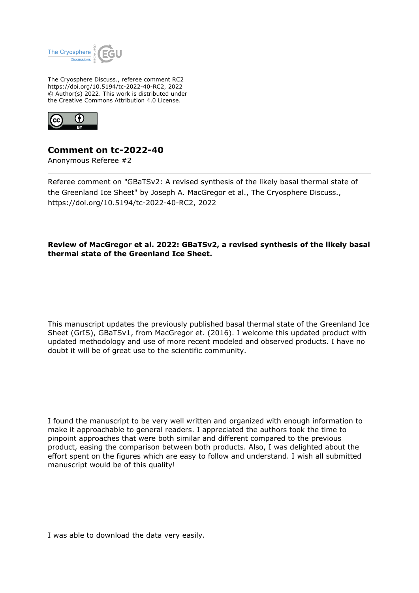

The Cryosphere Discuss., referee comment RC2 https://doi.org/10.5194/tc-2022-40-RC2, 2022 © Author(s) 2022. This work is distributed under the Creative Commons Attribution 4.0 License.



## **Comment on tc-2022-40**

Anonymous Referee #2

Referee comment on "GBaTSv2: A revised synthesis of the likely basal thermal state of the Greenland Ice Sheet" by Joseph A. MacGregor et al., The Cryosphere Discuss., https://doi.org/10.5194/tc-2022-40-RC2, 2022

## **Review of MacGregor et al. 2022: GBaTSv2, a revised synthesis of the likely basal thermal state of the Greenland Ice Sheet.**

This manuscript updates the previously published basal thermal state of the Greenland Ice Sheet (GrIS), GBaTSv1, from MacGregor et. (2016). I welcome this updated product with updated methodology and use of more recent modeled and observed products. I have no doubt it will be of great use to the scientific community.

I found the manuscript to be very well written and organized with enough information to make it approachable to general readers. I appreciated the authors took the time to pinpoint approaches that were both similar and different compared to the previous product, easing the comparison between both products. Also, I was delighted about the effort spent on the figures which are easy to follow and understand. I wish all submitted manuscript would be of this quality!

I was able to download the data very easily.